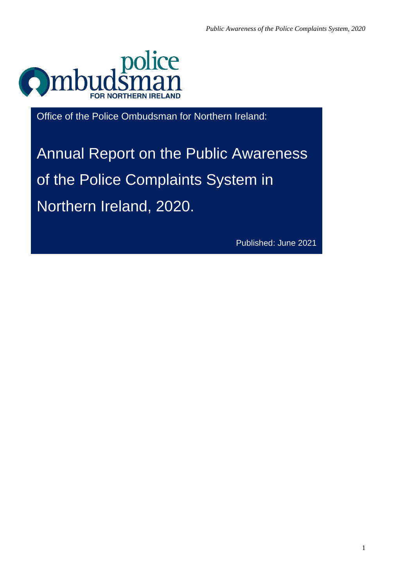

Office of the Police Ombudsman for Northern Ireland:

Annual Report on the Public Awareness of the Police Complaints System in Northern Ireland, 2020.

Published: June 2021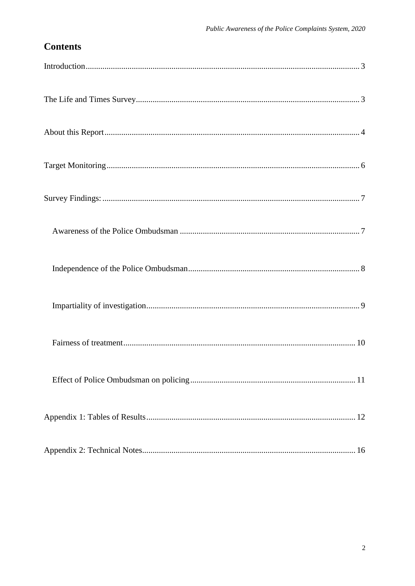# **Contents**

<span id="page-1-0"></span>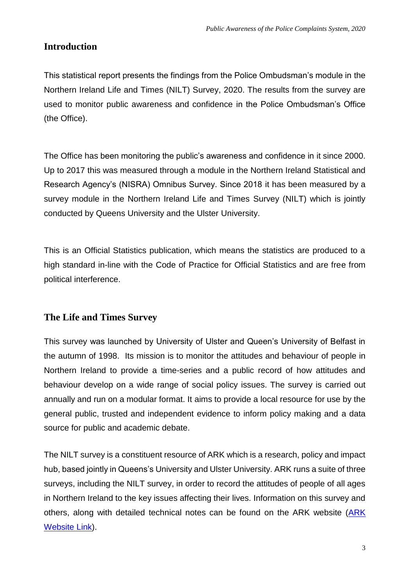## **Introduction**

This statistical report presents the findings from the Police Ombudsman's module in the Northern Ireland Life and Times (NILT) Survey, 2020. The results from the survey are used to monitor public awareness and confidence in the Police Ombudsman's Office (the Office).

The Office has been monitoring the public's awareness and confidence in it since 2000. Up to 2017 this was measured through a module in the Northern Ireland Statistical and Research Agency's (NISRA) Omnibus Survey. Since 2018 it has been measured by a survey module in the Northern Ireland Life and Times Survey (NILT) which is jointly conducted by Queens University and the Ulster University.

<span id="page-2-0"></span>This is an Official Statistics publication, which means the statistics are produced to a high standard in-line with the Code of Practice for Official Statistics and are free from political interference.

## **The Life and Times Survey**

This survey was launched by University of Ulster and Queen's University of Belfast in the autumn of 1998. Its mission is to monitor the attitudes and behaviour of people in Northern Ireland to provide a time-series and a public record of how attitudes and behaviour develop on a wide range of social policy issues. The survey is carried out annually and run on a modular format. It aims to provide a local resource for use by the general public, trusted and independent evidence to inform policy making and a data source for public and academic debate.

The NILT survey is a constituent resource of ARK which is a research, policy and impact hub, based jointly in Queens's University and Ulster University. ARK runs a suite of three surveys, including the NILT survey, in order to record the attitudes of people of all ages in Northern Ireland to the key issues affecting their lives. Information on this survey and others, along with detailed technical notes can be found on the ARK website (ARK) [Website Link\)](http://www.ark.ac.uk/).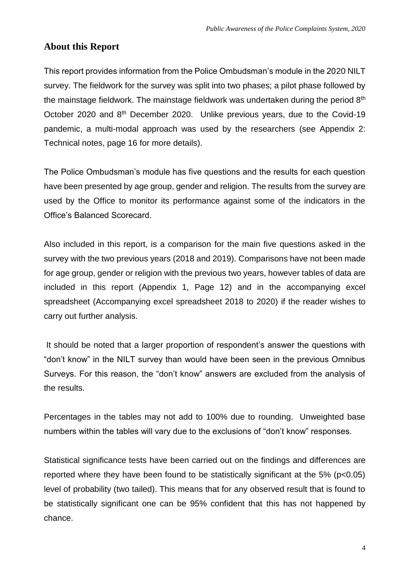### <span id="page-3-0"></span>**About this Report**

This report provides information from the Police Ombudsman's module in the 2020 NILT survey. The fieldwork for the survey was split into two phases; a pilot phase followed by the mainstage fieldwork. The mainstage fieldwork was undertaken during the period 8<sup>th</sup> October 2020 and 8th December 2020. Unlike previous years, due to the Covid-19 pandemic, a multi-modal approach was used by the researchers (see Appendix 2: Technical notes, page 16 for more details).

The Police Ombudsman's module has five questions and the results for each question have been presented by age group, gender and religion. The results from the survey are used by the Office to monitor its performance against some of the indicators in the Office's Balanced Scorecard.

Also included in this report, is a comparison for the main five questions asked in the survey with the two previous years (2018 and 2019). Comparisons have not been made for age group, gender or religion with the previous two years, however tables of data are included in this report (Appendix 1, Page 12) and in the accompanying excel spreadsheet (Accompanying excel spreadsheet 2018 to 2020) if the reader wishes to carry out further analysis.

It should be noted that a larger proportion of respondent's answer the questions with "don't know" in the NILT survey than would have been seen in the previous Omnibus Surveys. For this reason, the "don't know" answers are excluded from the analysis of the results.

Percentages in the tables may not add to 100% due to rounding. Unweighted base numbers within the tables will vary due to the exclusions of "don't know" responses.

Statistical significance tests have been carried out on the findings and differences are reported where they have been found to be statistically significant at the 5% (p<0.05) level of probability (two tailed). This means that for any observed result that is found to be statistically significant one can be 95% confident that this has not happened by chance.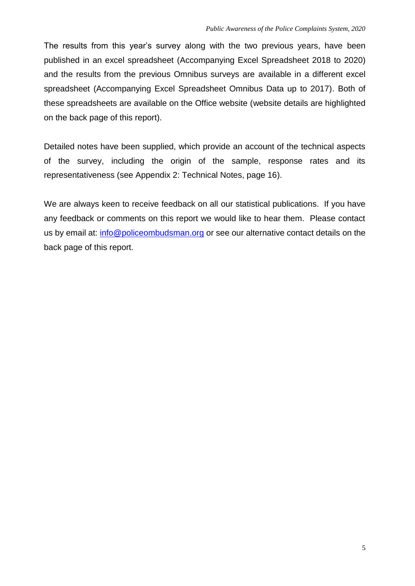The results from this year's survey along with the two previous years, have been published in an excel spreadsheet (Accompanying Excel Spreadsheet 2018 to 2020) and the results from the previous Omnibus surveys are available in a different excel spreadsheet (Accompanying Excel Spreadsheet Omnibus Data up to 2017). Both of these spreadsheets are available on the Office website (website details are highlighted on the back page of this report).

Detailed notes have been supplied, which provide an account of the technical aspects of the survey, including the origin of the sample, response rates and its representativeness (see Appendix 2: Technical Notes, page 16).

We are always keen to receive feedback on all our statistical publications. If you have any feedback or comments on this report we would like to hear them. Please contact us by email at: [info@policeombudsman.org](mailto:info@policeombudsman.org) or see our alternative contact details on the back page of this report.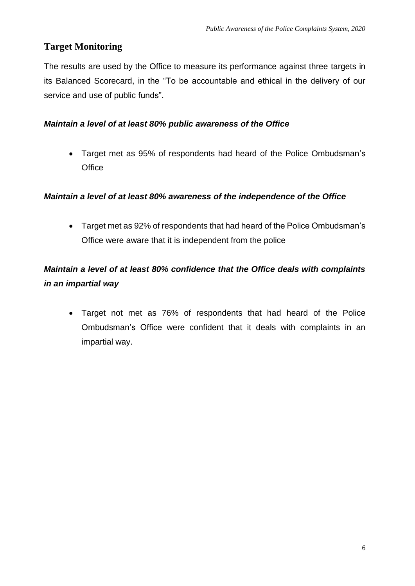## <span id="page-5-0"></span>**Target Monitoring**

The results are used by the Office to measure its performance against three targets in its Balanced Scorecard, in the "To be accountable and ethical in the delivery of our service and use of public funds".

### *Maintain a level of at least 80% public awareness of the Office*

 Target met as 95% of respondents had heard of the Police Ombudsman's **Office** 

### *Maintain a level of at least 80% awareness of the independence of the Office*

 Target met as 92% of respondents that had heard of the Police Ombudsman's Office were aware that it is independent from the police

# *Maintain a level of at least 80% confidence that the Office deals with complaints in an impartial way*

 Target not met as 76% of respondents that had heard of the Police Ombudsman's Office were confident that it deals with complaints in an impartial way.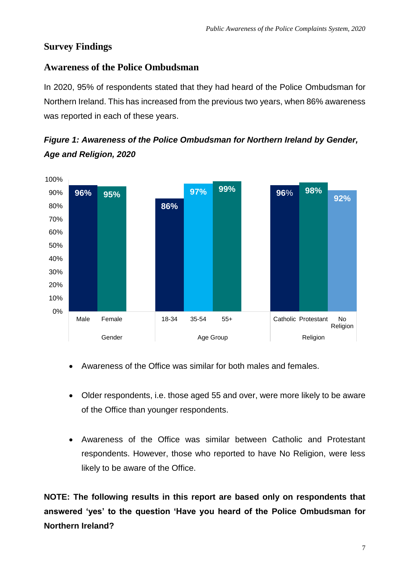## <span id="page-6-0"></span>**Survey Findings**

## <span id="page-6-1"></span>**Awareness of the Police Ombudsman**

In 2020, 95% of respondents stated that they had heard of the Police Ombudsman for Northern Ireland. This has increased from the previous two years, when 86% awareness was reported in each of these years.





- Awareness of the Office was similar for both males and females.
- Older respondents, i.e. those aged 55 and over, were more likely to be aware of the Office than younger respondents.
- Awareness of the Office was similar between Catholic and Protestant respondents. However, those who reported to have No Religion, were less likely to be aware of the Office.

**NOTE: The following results in this report are based only on respondents that answered 'yes' to the question 'Have you heard of the Police Ombudsman for Northern Ireland?**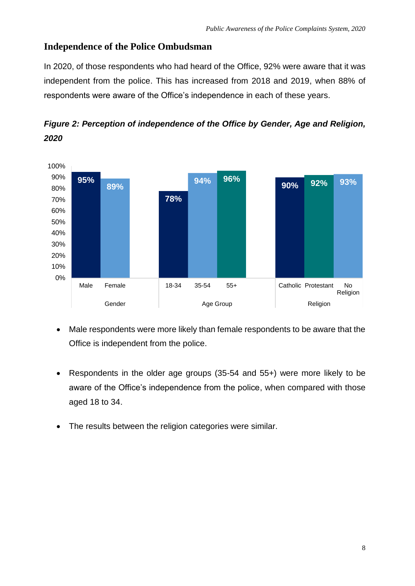## <span id="page-7-0"></span>**Independence of the Police Ombudsman**

In 2020, of those respondents who had heard of the Office, 92% were aware that it was independent from the police. This has increased from 2018 and 2019, when 88% of respondents were aware of the Office's independence in each of these years.



*Figure 2: Perception of independence of the Office by Gender, Age and Religion, 2020*

- Male respondents were more likely than female respondents to be aware that the Office is independent from the police.
- Respondents in the older age groups (35-54 and 55+) were more likely to be aware of the Office's independence from the police, when compared with those aged 18 to 34.
- The results between the religion categories were similar.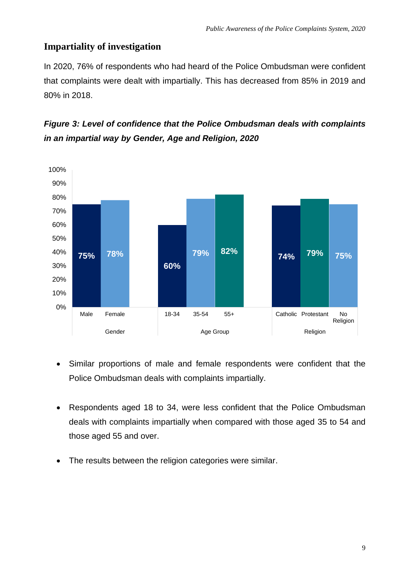## <span id="page-8-0"></span>**Impartiality of investigation**

In 2020, 76% of respondents who had heard of the Police Ombudsman were confident that complaints were dealt with impartially. This has decreased from 85% in 2019 and 80% in 2018.





- Similar proportions of male and female respondents were confident that the Police Ombudsman deals with complaints impartially.
- Respondents aged 18 to 34, were less confident that the Police Ombudsman deals with complaints impartially when compared with those aged 35 to 54 and those aged 55 and over.
- The results between the religion categories were similar.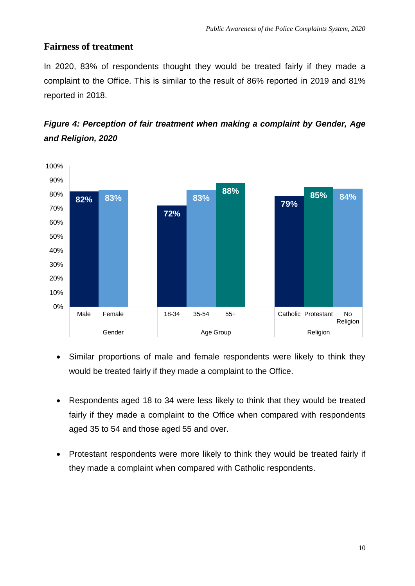### <span id="page-9-0"></span>**Fairness of treatment**

In 2020, 83% of respondents thought they would be treated fairly if they made a complaint to the Office. This is similar to the result of 86% reported in 2019 and 81% reported in 2018.



*Figure 4: Perception of fair treatment when making a complaint by Gender, Age and Religion, 2020*

- Similar proportions of male and female respondents were likely to think they would be treated fairly if they made a complaint to the Office.
- Respondents aged 18 to 34 were less likely to think that they would be treated fairly if they made a complaint to the Office when compared with respondents aged 35 to 54 and those aged 55 and over.
- Protestant respondents were more likely to think they would be treated fairly if they made a complaint when compared with Catholic respondents.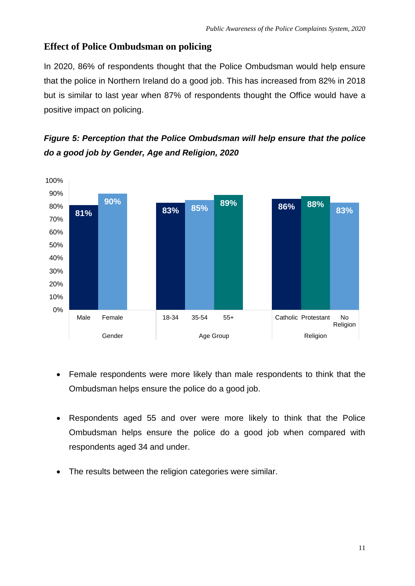### <span id="page-10-0"></span>**Effect of Police Ombudsman on policing**

In 2020, 86% of respondents thought that the Police Ombudsman would help ensure that the police in Northern Ireland do a good job. This has increased from 82% in 2018 but is similar to last year when 87% of respondents thought the Office would have a positive impact on policing.

## *Figure 5: Perception that the Police Ombudsman will help ensure that the police do a good job by Gender, Age and Religion, 2020*



- Female respondents were more likely than male respondents to think that the Ombudsman helps ensure the police do a good job.
- Respondents aged 55 and over were more likely to think that the Police Ombudsman helps ensure the police do a good job when compared with respondents aged 34 and under.
- The results between the religion categories were similar.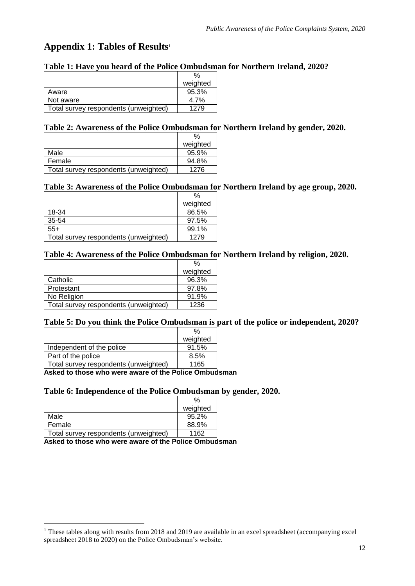## <span id="page-11-0"></span>**Appendix 1: Tables of Results<sup>1</sup>**

#### **Table 1: Have you heard of the Police Ombudsman for Northern Ireland, 2020?**

|                                       | weighted |
|---------------------------------------|----------|
| Aware                                 | 95.3%    |
| Not aware                             | $4.7\%$  |
| Total survey respondents (unweighted) | 1279     |

#### **Table 2: Awareness of the Police Ombudsman for Northern Ireland by gender, 2020.**

|                                       | $\%$     |
|---------------------------------------|----------|
|                                       | weighted |
| Male                                  | 95.9%    |
| Female                                | 94.8%    |
| Total survey respondents (unweighted) | 1276     |

#### **Table 3: Awareness of the Police Ombudsman for Northern Ireland by age group, 2020.**

|                                       | $\%$     |
|---------------------------------------|----------|
|                                       | weighted |
| 18-34                                 | 86.5%    |
| 35-54                                 | 97.5%    |
| $55+$                                 | 99.1%    |
| Total survey respondents (unweighted) | 1279     |

#### **Table 4: Awareness of the Police Ombudsman for Northern Ireland by religion, 2020.**

| $\%$     |
|----------|
| weighted |
| 96.3%    |
| 97.8%    |
| 91.9%    |
| 1236     |
|          |

#### **Table 5: Do you think the Police Ombudsman is part of the police or independent, 2020?**

|                                       | weighted |
|---------------------------------------|----------|
| Independent of the police             | 91.5%    |
| Part of the police                    | 8.5%     |
| Total survey respondents (unweighted) | 1165     |
|                                       |          |

**Asked to those who were aware of the Police Ombudsman**

#### **Table 6: Independence of the Police Ombudsman by gender, 2020.**

|                                       | $\%$     |
|---------------------------------------|----------|
|                                       | weighted |
| Male                                  | 95.2%    |
| Female                                | 88.9%    |
| Total survey respondents (unweighted) | 1162     |

<u>.</u>

 $1$  These tables along with results from 2018 and 2019 are available in an excel spreadsheet (accompanying excel spreadsheet 2018 to 2020) on the Police Ombudsman's website.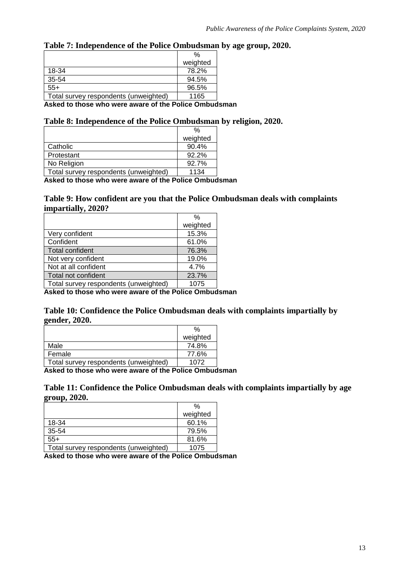#### **Table 7: Independence of the Police Ombudsman by age group, 2020.**

|                                       | $\%$     |
|---------------------------------------|----------|
|                                       | weighted |
| 18-34                                 | 78.2%    |
| 35-54                                 | 94.5%    |
| $55+$                                 | 96.5%    |
| Total survey respondents (unweighted) | 1165     |

**Asked to those who were aware of the Police Ombudsman**

#### **Table 8: Independence of the Police Ombudsman by religion, 2020.**

|                                       | $\%$     |
|---------------------------------------|----------|
|                                       | weighted |
| Catholic                              | 90.4%    |
| Protestant                            | 92.2%    |
| No Religion                           | 92.7%    |
| Total survey respondents (unweighted) | 1134     |

**Asked to those who were aware of the Police Ombudsman**

#### **Table 9: How confident are you that the Police Ombudsman deals with complaints impartially, 2020?**

|                                       | $\%$     |
|---------------------------------------|----------|
|                                       | weighted |
| Very confident                        | 15.3%    |
| Confident                             | 61.0%    |
| Total confident                       | 76.3%    |
| Not very confident                    | 19.0%    |
| Not at all confident                  | 4.7%     |
| Total not confident                   | 23.7%    |
| Total survey respondents (unweighted) | 1075     |

**Asked to those who were aware of the Police Ombudsman**

**Table 10: Confidence the Police Ombudsman deals with complaints impartially by gender, 2020.**

|                                        | %        |
|----------------------------------------|----------|
|                                        | weighted |
| Male                                   | 74.8%    |
| Female                                 | 77.6%    |
| Total survey respondents (unweighted)  | 1072     |
| A elección de Alexandre de La concerta |          |

**Asked to those who were aware of the Police Ombudsman**

**Table 11: Confidence the Police Ombudsman deals with complaints impartially by age group, 2020.**

|                                       | $\%$     |
|---------------------------------------|----------|
|                                       | weighted |
| 18-34                                 | 60.1%    |
| 35-54                                 | 79.5%    |
| $55+$                                 | 81.6%    |
| Total survey respondents (unweighted) | 1075     |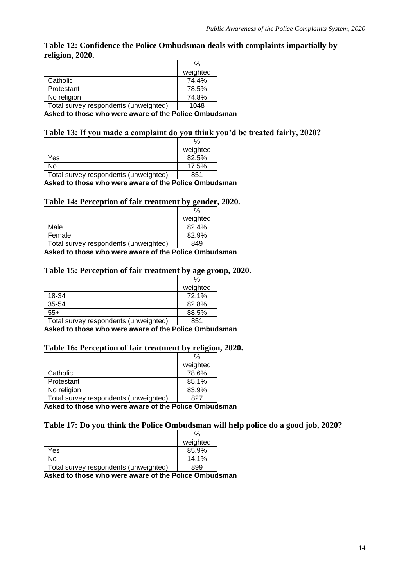#### **Table 12: Confidence the Police Ombudsman deals with complaints impartially by religion, 2020.**

|                                       | $\%$     |
|---------------------------------------|----------|
|                                       | weighted |
| Catholic                              | 74.4%    |
| Protestant                            | 78.5%    |
| No religion                           | 74.8%    |
| Total survey respondents (unweighted) | 1048     |
|                                       |          |

**Asked to those who were aware of the Police Ombudsman**

#### **Table 13: If you made a complaint do you think you'd be treated fairly, 2020?**

|                                       | $\%$                     |
|---------------------------------------|--------------------------|
|                                       | weighted                 |
| Yes                                   | 82.5%                    |
| No                                    | 17.5%                    |
| Total survey respondents (unweighted) | 851                      |
| .<br>.                                | $\overline{\phantom{0}}$ |

**Asked to those who were aware of the Police Ombudsman**

#### **Table 14: Perception of fair treatment by gender, 2020.**

|                                       | $\%$     |
|---------------------------------------|----------|
|                                       | weighted |
| Male                                  | 82.4%    |
| Female                                | 82.9%    |
| Total survey respondents (unweighted) | 849      |

**Asked to those who were aware of the Police Ombudsman**

#### **Table 15: Perception of fair treatment by age group, 2020.**

|                                       | $\frac{0}{0}$ |
|---------------------------------------|---------------|
|                                       | weighted      |
| 18-34                                 | 72.1%         |
| 35-54                                 | 82.8%         |
| $55+$                                 | 88.5%         |
| Total survey respondents (unweighted) | 851           |
|                                       |               |

**Asked to those who were aware of the Police Ombudsman**

#### **Table 16: Perception of fair treatment by religion, 2020.**

|                                                                       | %        |
|-----------------------------------------------------------------------|----------|
|                                                                       | weighted |
| Catholic                                                              | 78.6%    |
| Protestant                                                            | 85.1%    |
| No religion                                                           | 83.9%    |
| Total survey respondents (unweighted)                                 | 827      |
| A all a chiad all a del contra consegue and a fail a final face Assal |          |

**Asked to those who were aware of the Police Ombudsman**

#### **Table 17: Do you think the Police Ombudsman will help police do a good job, 2020?**

|                                       | weighted |
|---------------------------------------|----------|
| Yes                                   | 85.9%    |
| No                                    | 14.1%    |
| Total survey respondents (unweighted) | 899      |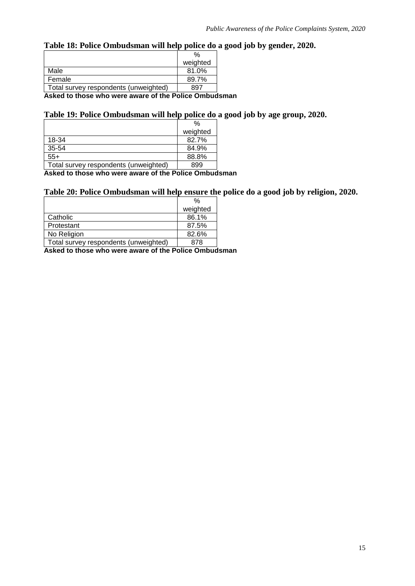### **Table 18: Police Ombudsman will help police do a good job by gender, 2020.**

|                                                       | %        |  |  |
|-------------------------------------------------------|----------|--|--|
|                                                       | weighted |  |  |
| Male                                                  | 81.0%    |  |  |
| Female                                                | 89.7%    |  |  |
| Total survey respondents (unweighted)                 | 897      |  |  |
| Asked to those who were aware of the Police Ombudsman |          |  |  |

### **Table 19: Police Ombudsman will help police do a good job by age group, 2020.**

| $\%$     |
|----------|
| weighted |
| 82.7%    |
| 84.9%    |
| 88.8%    |
| 899      |
|          |

**Asked to those who were aware of the Police Ombudsman**

#### **Table 20: Police Ombudsman will help ensure the police do a good job by religion, 2020.**

|                                       | %        |
|---------------------------------------|----------|
|                                       | weighted |
| Catholic                              | 86.1%    |
| Protestant                            | 87.5%    |
| No Religion                           | 82.6%    |
| Total survey respondents (unweighted) | 878      |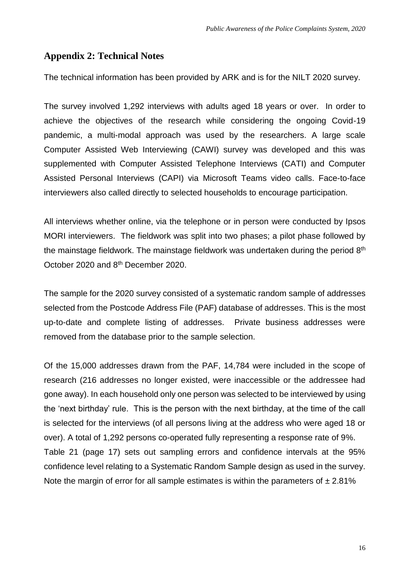### <span id="page-15-0"></span>**Appendix 2: Technical Notes**

The technical information has been provided by ARK and is for the NILT 2020 survey.

The survey involved 1,292 interviews with adults aged 18 years or over. In order to achieve the objectives of the research while considering the ongoing Covid-19 pandemic, a multi-modal approach was used by the researchers. A large scale Computer Assisted Web Interviewing (CAWI) survey was developed and this was supplemented with Computer Assisted Telephone Interviews (CATI) and Computer Assisted Personal Interviews (CAPI) via Microsoft Teams video calls. Face-to-face interviewers also called directly to selected households to encourage participation.

All interviews whether online, via the telephone or in person were conducted by Ipsos MORI interviewers. The fieldwork was split into two phases; a pilot phase followed by the mainstage fieldwork. The mainstage fieldwork was undertaken during the period 8<sup>th</sup> October 2020 and 8th December 2020.

The sample for the 2020 survey consisted of a systematic random sample of addresses selected from the Postcode Address File (PAF) database of addresses. This is the most up-to-date and complete listing of addresses. Private business addresses were removed from the database prior to the sample selection.

Of the 15,000 addresses drawn from the PAF, 14,784 were included in the scope of research (216 addresses no longer existed, were inaccessible or the addressee had gone away). In each household only one person was selected to be interviewed by using the 'next birthday' rule. This is the person with the next birthday, at the time of the call is selected for the interviews (of all persons living at the address who were aged 18 or over). A total of 1,292 persons co-operated fully representing a response rate of 9%. Table 21 (page 17) sets out sampling errors and confidence intervals at the 95% confidence level relating to a Systematic Random Sample design as used in the survey. Note the margin of error for all sample estimates is within the parameters of  $\pm 2.81\%$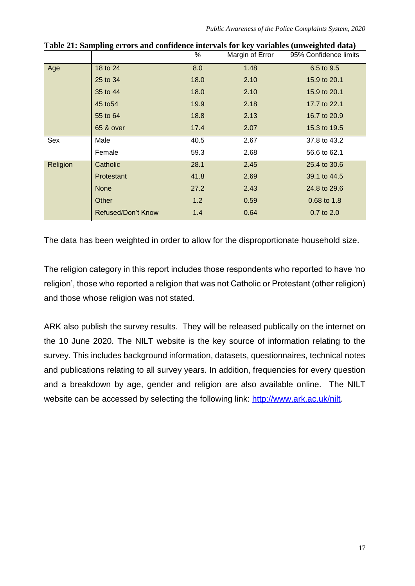*Public Awareness of the Police Complaints System, 2020*

|          | rable are bamping very band commence meet and for my variables (an weighted data) | %    | Margin of Error | 95% Confidence limits |
|----------|-----------------------------------------------------------------------------------|------|-----------------|-----------------------|
| Age      | 18 to 24                                                                          | 8.0  | 1.48            | 6.5 to 9.5            |
|          | 25 to 34                                                                          | 18.0 | 2.10            | 15.9 to 20.1          |
|          | 35 to 44                                                                          | 18.0 | 2.10            | 15.9 to 20.1          |
|          | 45 to 54                                                                          | 19.9 | 2.18            | 17.7 to 22.1          |
|          | 55 to 64                                                                          | 18.8 | 2.13            | 16.7 to 20.9          |
|          | 65 & over                                                                         | 17.4 | 2.07            | 15.3 to 19.5          |
| Sex      | Male                                                                              | 40.5 | 2.67            | 37.8 to 43.2          |
|          | Female                                                                            | 59.3 | 2.68            | 56.6 to 62.1          |
| Religion | Catholic                                                                          | 28.1 | 2.45            | 25.4 to 30.6          |
|          | Protestant                                                                        | 41.8 | 2.69            | 39.1 to 44.5          |
|          | <b>None</b>                                                                       | 27.2 | 2.43            | 24.8 to 29.6          |
|          | Other                                                                             | 1.2  | 0.59            | 0.68 to 1.8           |
|          | <b>Refused/Don't Know</b>                                                         | 1.4  | 0.64            | $0.7$ to $2.0$        |

**Table 21: Sampling errors and confidence intervals for key variables (unweighted data)**

The data has been weighted in order to allow for the disproportionate household size.

The religion category in this report includes those respondents who reported to have 'no religion', those who reported a religion that was not Catholic or Protestant (other religion) and those whose religion was not stated.

ARK also publish the survey results. They will be released publically on the internet on the 10 June 2020. The NILT website is the key source of information relating to the survey. This includes background information, datasets, questionnaires, technical notes and publications relating to all survey years. In addition, frequencies for every question and a breakdown by age, gender and religion are also available online. The NILT website can be accessed by selecting the following link: [http://www.ark.ac.uk/nilt.](Annual%20report%20on%20public%20awareness%20of%20the%20police%20complaints%20system%20in%20Northern%20Ireland%202020%20(resaved%20as%20word%20document%20for%20access%20check).docx)